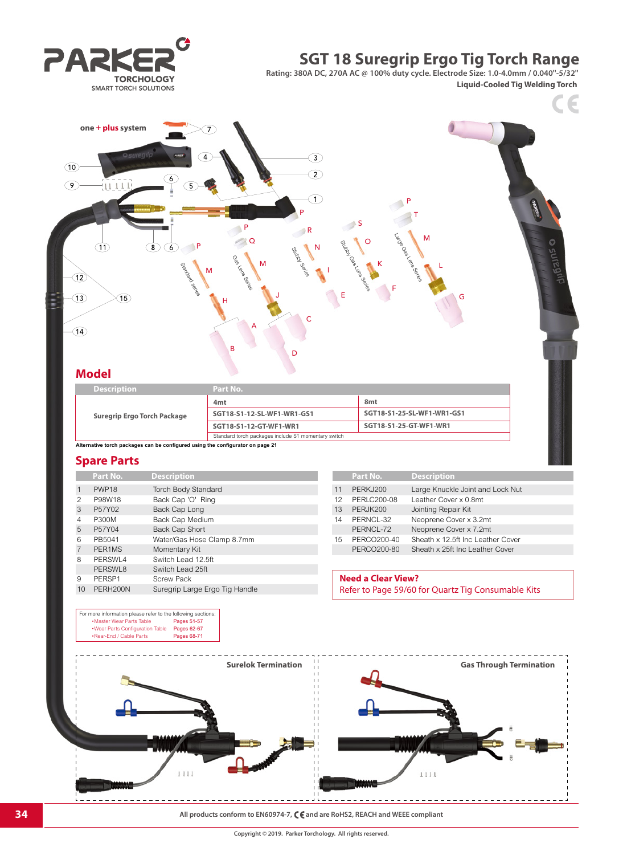# **SGT 18 Suregrip Ergo Tig Torch Range**

**Rating: 380A DC, 270A AC @ 100% duty cycle. Electrode Size: 1.0-4.0mm / 0.040''-5/32''**

**Liquid-Cooled Tig Welding Torch**

 $\epsilon$ 





## **Model**

| <b>Description</b>          | Part No.                                            |                            |
|-----------------------------|-----------------------------------------------------|----------------------------|
|                             | 4 <sub>mt</sub>                                     | 8 <sub>mt</sub>            |
| Suregrip Ergo Torch Package | SGT18-S1-12-SL-WF1-WR1-GS1                          | SGT18-S1-25-SL-WF1-WR1-GS1 |
|                             | SGT18-S1-12-GT-WF1-WR1                              | SGT18-S1-25-GT-WF1-WR1     |
|                             | Standard torch packages include S1 momentary switch |                            |

**Alternative torch packages can be configured using the configurator on page 21**

### **Spare Parts**

|                | Part No.          | <b>Description</b>             |    | Part No.                      | <b>Description</b> |
|----------------|-------------------|--------------------------------|----|-------------------------------|--------------------|
| $\mathbf{1}$   | PWP <sub>18</sub> | <b>Torch Body Standard</b>     | 11 | PERKJ200                      | Large Knuck        |
| 2              | P98W18            | Back Cap 'O' Ring              | 12 | PERLC200-08                   | Leather Cove       |
| 3              | P57Y02            | Back Cap Long                  | 13 | PERJK200                      | Jointing Repa      |
| 4              | P300M             | Back Cap Medium                | 14 | PERNCL-32                     | Neoprene Co        |
| 5              | P57Y04            | <b>Back Cap Short</b>          |    | PERNCL-72                     | Neoprene Co        |
| 6              | PB5041            | Water/Gas Hose Clamp 8.7mm     | 15 | PERCO200-40                   | Sheath x 12.5      |
| $\overline{7}$ | PER1MS            | Momentary Kit                  |    | PERCO200-80                   | Sheath x 25ft      |
| 8              | PERSWL4           | Switch Lead 12.5ft             |    |                               |                    |
|                | PERSWL8           | Switch Lead 25ft               |    |                               |                    |
| 9              | PERSP1            | <b>Screw Pack</b>              |    | <b>Need a Clear View?</b>     |                    |
| 10             | PERH200N          | Suregrip Large Ergo Tig Handle |    | Refer to Page 59/60 for Ouart |                    |

For more information please refer to the following sections: •Master Wear Parts Table Pages 51-57

|    | Part No.        | <b>Description</b>                |
|----|-----------------|-----------------------------------|
| 11 | <b>PERKJ200</b> | Large Knuckle Joint and Lock Nut  |
| 12 | PERLC200-08     | Leather Cover x 0.8mt             |
| 13 | PERJK200        | Jointing Repair Kit               |
| 14 | PERNCL-32       | Neoprene Cover x 3.2mt            |
|    | PERNCL-72       | Neoprene Cover x 7.2mt            |
| 15 | PERCO200-40     | Sheath x 12.5ft Inc Leather Cover |
|    | PERCO200-80     | Sheath x 25ft Inc Leather Cover   |
|    |                 |                                   |

# **Need a Clear View?**

Refer to Page 59/60 for Quartz Tig Consumable Kits



**34 All products conform to EN60974-7, C C** and are RoHS2, REACH and WEEE compliant